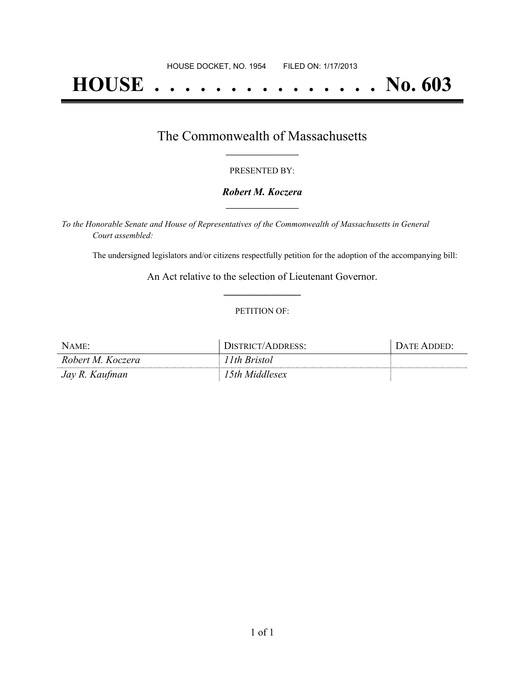# **HOUSE . . . . . . . . . . . . . . . No. 603**

## The Commonwealth of Massachusetts **\_\_\_\_\_\_\_\_\_\_\_\_\_\_\_\_\_**

#### PRESENTED BY:

#### *Robert M. Koczera* **\_\_\_\_\_\_\_\_\_\_\_\_\_\_\_\_\_**

*To the Honorable Senate and House of Representatives of the Commonwealth of Massachusetts in General Court assembled:*

The undersigned legislators and/or citizens respectfully petition for the adoption of the accompanying bill:

An Act relative to the selection of Lieutenant Governor. **\_\_\_\_\_\_\_\_\_\_\_\_\_\_\_**

#### PETITION OF:

| NAME:             | DISTRICT/ADDRESS: | . Date Added: |
|-------------------|-------------------|---------------|
| Robert M. Koczera | 11th Bristol      |               |
| Jay R. Kaufman    | 15th Middlesex    |               |